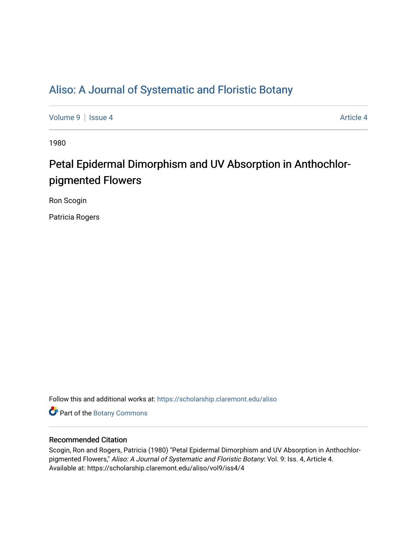## [Aliso: A Journal of Systematic and Floristic Botany](https://scholarship.claremont.edu/aliso)

[Volume 9](https://scholarship.claremont.edu/aliso/vol9) | [Issue 4](https://scholarship.claremont.edu/aliso/vol9/iss4) Article 4

1980

# Petal Epidermal Dimorphism and UV Absorption in Anthochlorpigmented Flowers

Ron Scogin

Patricia Rogers

Follow this and additional works at: [https://scholarship.claremont.edu/aliso](https://scholarship.claremont.edu/aliso?utm_source=scholarship.claremont.edu%2Faliso%2Fvol9%2Fiss4%2F4&utm_medium=PDF&utm_campaign=PDFCoverPages) 

Part of the [Botany Commons](https://network.bepress.com/hgg/discipline/104?utm_source=scholarship.claremont.edu%2Faliso%2Fvol9%2Fiss4%2F4&utm_medium=PDF&utm_campaign=PDFCoverPages) 

## Recommended Citation

Scogin, Ron and Rogers, Patricia (1980) "Petal Epidermal Dimorphism and UV Absorption in Anthochlorpigmented Flowers," Aliso: A Journal of Systematic and Floristic Botany: Vol. 9: Iss. 4, Article 4. Available at: https://scholarship.claremont.edu/aliso/vol9/iss4/4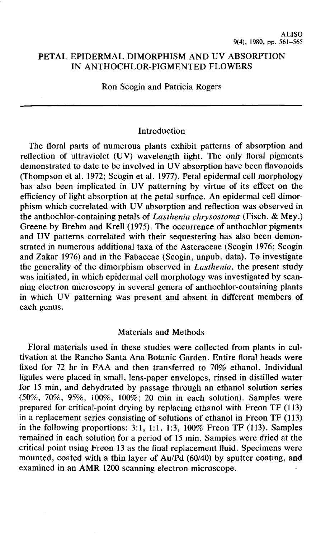## PETAL EPIDERMAL DIMORPHISM AND UV ABSORPTION IN ANTHOCHLOR-PIGMENTED FLOWERS

Ron Scogin and Patricia Rogers

#### Introduction

The floral parts of numerous plants exhibit patterns of absorption and reflection of ultraviolet (UV) wavelength light. The only floral pigments demonstrated to date to be involved in UV absorption have been flavonoids (Thompson et al. 1972; Scogin et al. 1977). Petal epidermal cell morphology has also been implicated in UV patterning by virtue of its effect on the efficiency of light absorption at the petal surface. An epidermal cell dimorphism which correlated with UV absorption and reflection was observed in the anthochlor-containing petals of *Lasthenia chrysostoma* (Fisch. & Mey.) Greene by Brehm and Krell (1975). The occurrence of anthochlor pigments and UV patterns correlated with their sequestering has also been demonstrated in numerous additional taxa of the Asteraceae (Scogin 1976; Scogin and Zakar 1976) and in the Fabaceae (Scogin, unpub. data). To investigate the generality of the dimorphism observed in *Lasthenia,* the present study was initiated, in which epidermal cell morphology was investigated by scanning electron microscopy in several genera of anthochlor-containing plants in which UV patterning was present and absent in different members of each genus.

### Materials and Methods

Floral materials used in these studies were collected from plants in cultivation at the Rancho Santa Ana Botanic Garden. Entire floral heads were fixed for 72 hr in FAA and then transferred to 70% ethanol. Individual ligules were placed in small, lens-paper envelopes, rinsed in distilled water for 15 min, and dehydrated by passage through an ethanol solution series (50%, 70%, 95%, 100%, 100%; 20 min in each solution). Samples were prepared for critical-point drying by replacing ethanol with Freon TF (113) in a replacement series consisting of solutions of ethanol in Freon TF (113) in the following proportions:  $3:1$ ,  $1:1$ ,  $1:3$ ,  $100\%$  Freon TF (113). Samples remained in each solution for a period of 15 min. Samples were dried at the critical point using Freon 13 as the final replacement fluid. Specimens were mounted, coated with a thin layer of Au/Pd (60/40) by sputter coating, and examined in an AMR 1200 scanning electron microscope.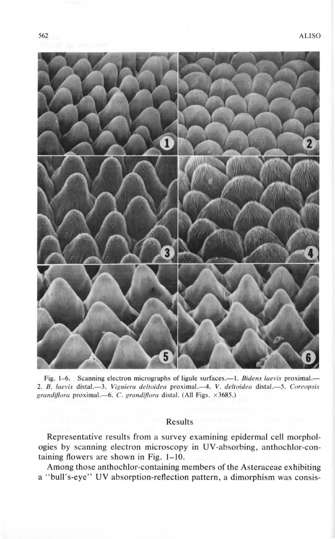

Fig. 1-6. Scanning electron micrographs of ligule surfaces.—1. *Bidens laevis* proximal.— 2. *B. /a evis* distal.-3 . *Viguiera deltoidea* proximal.--4. *V. deltoidea* distal.-5. *Coreopsis grandiflora proximal.*-6. C. *grandiflora* distal. (All Figs. ×3685.)

## Results

Representative results from a survey examining epidermal cell morphologies by scanning electron microscopy in UV-absorbing, anthochlor-containing flowers are shown **in** Fig. **1-10.** 

Among those anthochlor-containing members of the Asteraceae exhibiting a " bull's-eye" UV absorption-reflection pattern, a dimorphism was consis-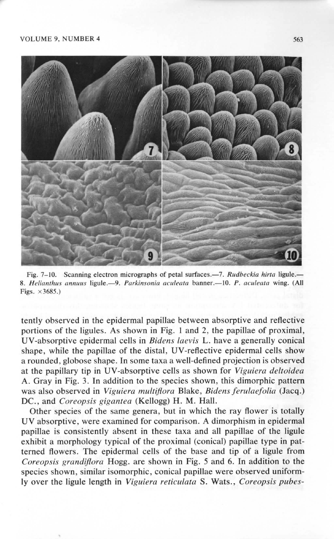#### VOLUME 9, NUMBER 4 563



Fig. 7-10. Scanning electron micrographs of petal surfaces.—7. *Rudbeckia hirta* ligule.— 8. *He/ianthus annuus* ligule.-9. *Parkinsonia aculeata* banner.-10. *P. acu/eata* wing. (All Figs.  $\times 3685.$ )

tently observed in the epidermal papillae between absorptive and reflective portions of the ligules. As shown in Fig. I and 2, the papillae of proximal, UV-absorptive epidermal cells in *Bidens Laevis* L. have a generally conical shape, while the papillae of the distal, UV-reflective epidermal cells show a rounded, globose shape. In some taxa a well-defined projection is observed at the papillary tip in UV-absorptive cells as shown for *Viguiera deltoidea*  A. Gray in Fig. 3. In addition to the species shown, this dimorphic pattern was also observed in *Viguiera multiflora* Blake, *Bidens ferulaefolia* (Jacq.) DC. , and *Coreopsis gigantea* (Kellogg) H. M. Hall.

Other species of the same genera, but in which the ray flower is totally UV absorptive, were examined for comparison. A dimorphism in epidermal papillae is consistently absent in these taxa and all papillae of the ligule exhibit a morphology typical of the proximal (conical) papillae type in patterned flowers. The epidermal cells of the base and tip of a ligule from *Coreopsis grandiflora* Hogg. are shown in Fig. *5* and 6. In addition to the species shown, similar isomorphic, conical papillae were observed uniformly over the ligule length in *Viguiera reticulata* S. Wats., *Coreopsis pubes-*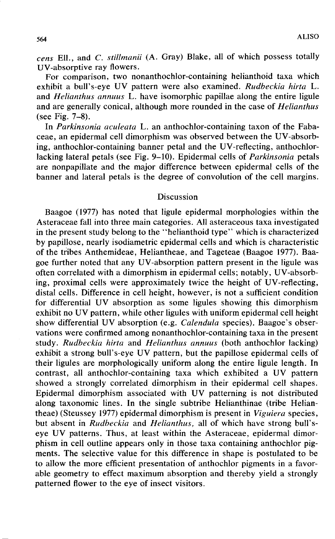*cens* Ell., and C. *stillmanii* (A. Gray) Blake, all of which possess totally UV-absorptive ray flowers.

For comparison, two nonanthochlor-containing helianthoid taxa which exhibit a bull's-eye UV pattern were also examined. *Rudbeckia hirta* L. and *Helianthus annuus* L. have isomorphic papillae along the entire ligule and are generally conical, although more rounded in the case of *Helianthus*  (see Fig. 7-8).

In *Parkinsonia aculeata* L. an anthochlor-containing taxon of the Fabaceae, an epidermal cell dimorphism was observed between the UV-absorbing, anthochlor-containing banner petal and the UV-reflecting, anthochlorlacking lateral petals (see Fig. 9-10). Epidermal cells of *Parkinsonia* petals are nonpapillate and the major difference between epidermal cells of the banner and lateral petals is the degree of convolution of the cell margins.

## Discussion

Baagoe (1977) has noted that ligule epidermal morphologies within the Asteraceae fall into three main categories. All asteraceous taxa investigated in the present study belong to the "helianthoid type" which is characterized by papillose, nearly isodiametric epidermal cells and which is characteristic of the tiibes Anthemideae, Heliantheae, and Tageteae (Baagoe 1977). Baagoe further noted that any UV -absorption pattern present in the ligule was often correlated with a dimorphism in epidermal cells; notably, UV -absorbing, proximal cells were approximately twice the height of UV-reflecting, distal cells. Difference in cell height, however, is not a sufficient condition for differential UV absorption as some ligules showing this dimorphism exhibit no UV pattern, while other ligules with uniform epidermal cell height show differential UV absorption (e.g. *Calendula* species). Baagoe's observations were confirmed among nonanthochlor-containing taxa in the present study. *Rudbeckia hirta* and *Helianthus annuus* (both anthochlor lacking) exhibit a strong bull's-eye UV pattern, but the papillose epidermal cells of their ligules are morphologically uniform along the entire ligule length. In contrast, all anthochlor-containing taxa which exhibited a UV pattern showed a strongly correlated dimorphism in their epidermal cell shapes. Epidermal dimorphism associated with UV patterning is not distributed along taxonomic lines. In the single subtribe Helianthinae (tribe Heliantheae) (Steussey 1977) epidermal dimorphism is present in *Viguiera* species, but absent in *Rudbeckia* and *Helianthus*, all of which have strong bull'seye UV patterns. Thus, at least within the Asteraceae, epidermal dimorphism in cell outline appears only in those taxa containing anthochlor pigments. The selective value for this difference in shape is postulated to be to allow the more efficient presentation of anthochlor pigments in a favorable geometry to effect maximum absorption and thereby yield a strongly patterned flower to the eye of insect visitors.